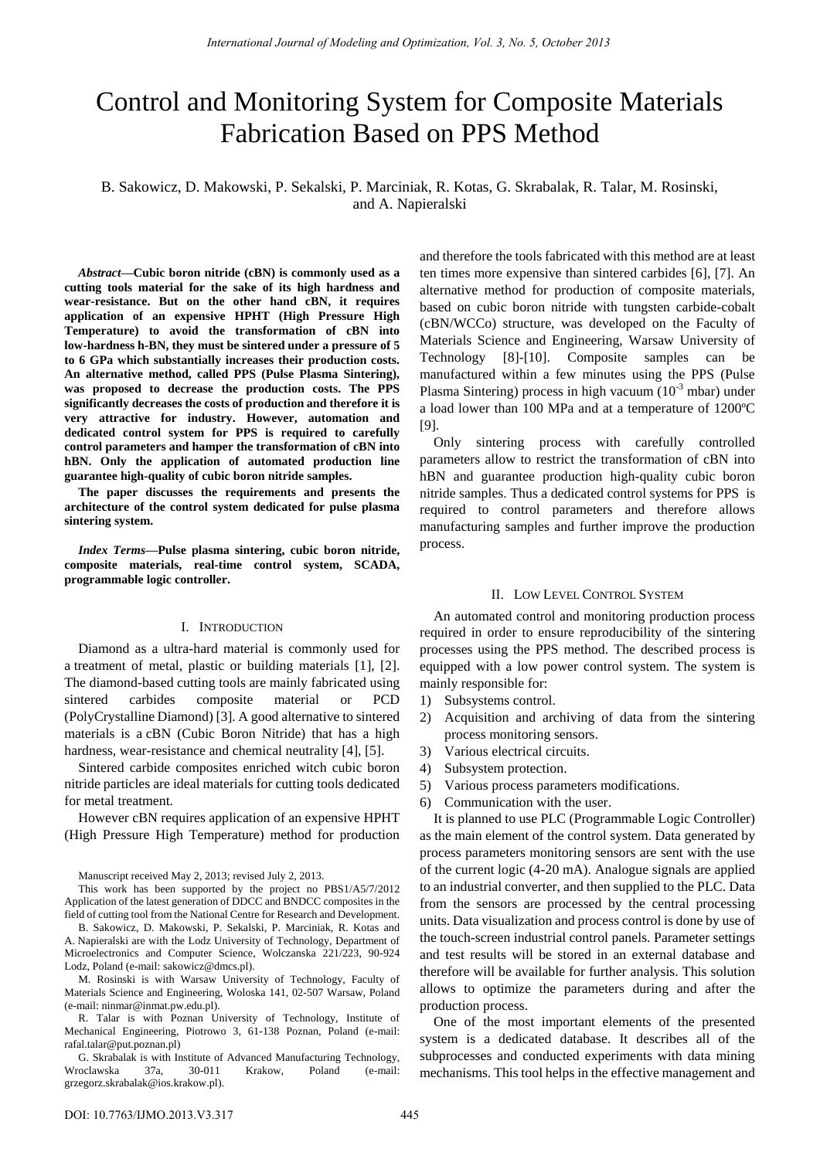# Control and Monitoring System for Composite Materials Fabrication Based on PPS Method

B. Sakowicz, D. Makowski, P. Sekalski, P. Marciniak, R. Kotas, G. Skrabalak, R. Talar, M. Rosinski, and A. Napieralski

*Abstract—***Cubic boron nitride (cBN) is commonly used as a cutting tools material for the sake of its high hardness and wear-resistance. But on the other hand cBN, it requires application of an expensive HPHT (High Pressure High Temperature) to avoid the transformation of cBN into low-hardness h-BN, they must be sintered under a pressure of 5 to 6 GPa which substantially increases their production costs. An alternative method, called PPS (Pulse Plasma Sintering), was proposed to decrease the production costs. The PPS significantly decreases the costs of production and therefore it is very attractive for industry. However, automation and dedicated control system for PPS is required to carefully control parameters and hamper the transformation of cBN into hBN. Only the application of automated production line guarantee high-quality of cubic boron nitride samples.** 

**The paper discusses the requirements and presents the architecture of the control system dedicated for pulse plasma sintering system.** 

*Index Terms—***Pulse plasma sintering, cubic boron nitride, composite materials, real-time control system, SCADA, programmable logic controller.**

# I. INTRODUCTION

Diamond as a ultra-hard material is commonly used for a treatment of metal, plastic or building materials [1], [2]. The diamond-based cutting tools are mainly fabricated using sintered carbides composite material or PCD (PolyCrystalline Diamond) [3]. A good alternative to sintered materials is a cBN (Cubic Boron Nitride) that has a high hardness, wear-resistance and chemical neutrality [4], [5].

Sintered carbide composites enriched witch cubic boron nitride particles are ideal materials for cutting tools dedicated for metal treatment.

However cBN requires application of an expensive HPHT (High Pressure High Temperature) method for production

Manuscript received May 2, 2013; revised July 2, 2013.

This work has been supported by the project no PBS1/A5/7/2012 Application of the latest generation of DDCC and BNDCC composites in the field of cutting tool from the National Centre for Research and Development.

B. Sakowicz, D. Makowski, P. Sekalski, P. Marciniak, R. Kotas and A. Napieralski are with the Lodz University of Technology, Department of Microelectronics and Computer Science, Wolczanska 221/223, 90-924 Lodz, Poland (e-mail: sakowicz@dmcs.pl).

M. Rosinski is with Warsaw University of Technology, Faculty of Materials Science and Engineering, Woloska 141, 02-507 Warsaw, Poland (e-mail: ninmar@inmat.pw.edu.pl).

R. Talar is with Poznan University of Technology, Institute of Mechanical Engineering, Piotrowo 3, 61-138 Poznan, Poland (e-mail: rafal.talar@put.poznan.pl)

G. Skrabalak is with Institute of Advanced Manufacturing Technology, Wroclawska 37a, 30-011 Krakow, Poland (e-mail: [grzegorz.skrabalak@ios.krakow.pl\).](mailto:grzegorz.skrabalak@ios.krakow.pl)

and therefore the tools fabricated with this method are at least ten times more expensive than sintered carbides [6], [7]. An alternative method for production of composite materials, based on cubic boron nitride with tungsten carbide-cobalt (cBN/WCCo) structure, was developed on the Faculty of Materials Science and Engineering, Warsaw University of Technology [8]-[10]. Composite samples can be manufactured within a few minutes using the PPS (Pulse Plasma Sintering) process in high vacuum  $(10^{-3} \text{ mbar})$  under a load lower than 100 MPa and at a temperature of  $1200 \, \text{C}$ [9].

Only sintering process with carefully controlled parameters allow to restrict the transformation of cBN into hBN and guarantee production high-quality cubic boron nitride samples. Thus a dedicated control systems for PPS is required to control parameters and therefore allows manufacturing samples and further improve the production process.

## II. LOW LEVEL CONTROL SYSTEM

An automated control and monitoring production process required in order to ensure reproducibility of the sintering processes using the PPS method. The described process is equipped with a low power control system. The system is mainly responsible for:

- 1) Subsystems control.
- 2) Acquisition and archiving of data from the sintering process monitoring sensors.
- 3) Various electrical circuits.
- 4) Subsystem protection.
- 5) Various process parameters modifications.
- 6) Communication with the user.

It is planned to use PLC (Programmable Logic Controller) as the main element of the control system. Data generated by process parameters monitoring sensors are sent with the use of the current logic (4-20 mA). Analogue signals are applied to an industrial converter, and then supplied to the PLC. Data from the sensors are processed by the central processing units. Data visualization and process control is done by use of the touch-screen industrial control panels. Parameter settings and test results will be stored in an external database and therefore will be available for further analysis. This solution allows to optimize the parameters during and after the production process.

One of the most important elements of the presented system is a dedicated database. It describes all of the subprocesses and conducted experiments with data mining mechanisms. This tool helps in the effective management and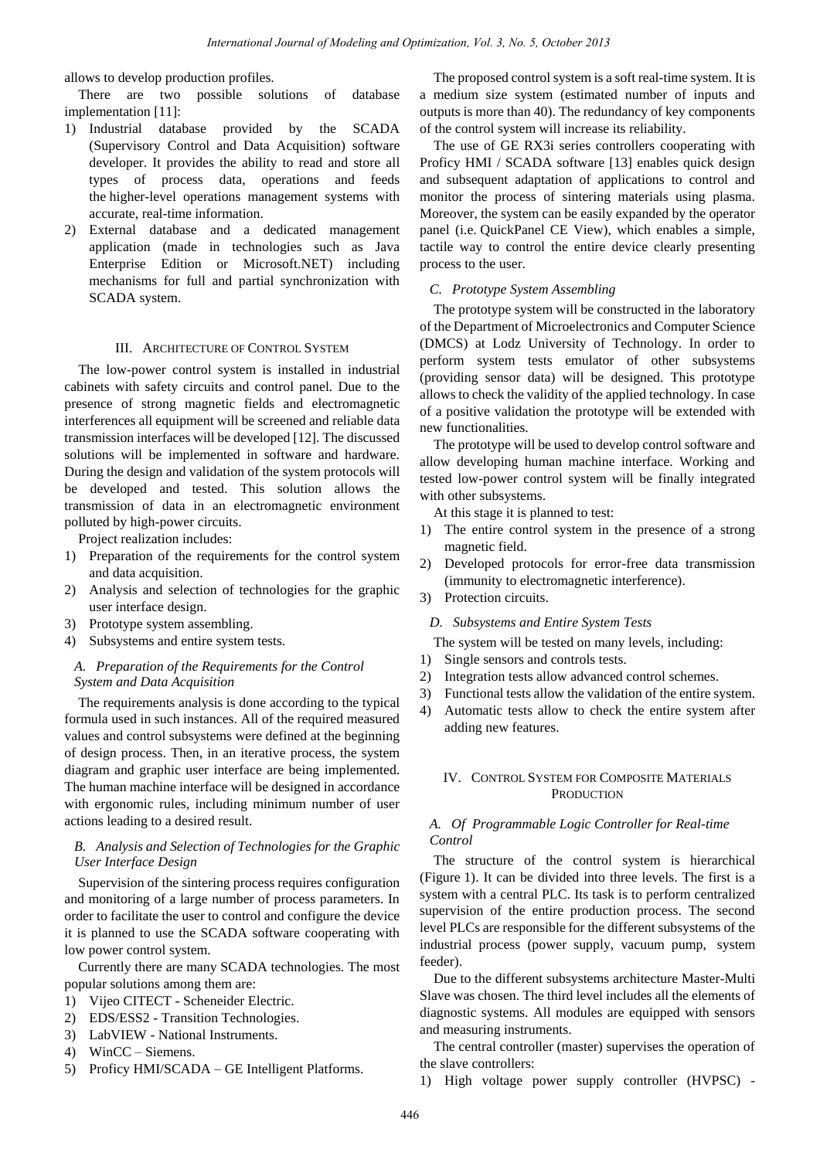allows to develop production profiles.

There are two possible solutions of database implementation [11]:

- 1) Industrial database provided by the SCADA (Supervisory Control and Data Acquisition) software developer. It provides the ability to read and store all types of process data, operations and feeds the higher-level operations management systems with accurate, real-time information.
- 2) External database and a dedicated management application (made in technologies such as Java Enterprise Edition or Microsoft.NET) including mechanisms for full and partial synchronization with SCADA system.

### III. ARCHITECTURE OF CONTROL SYSTEM

The low-power control system is installed in industrial cabinets with safety circuits and control panel. Due to the presence of strong magnetic fields and electromagnetic interferences all equipment will be screened and reliable data transmission interfaces will be developed [12]. The discussed solutions will be implemented in software and hardware. During the design and validation of the system protocols will be developed and tested. This solution allows the transmission of data in an electromagnetic environment polluted by high-power circuits.

Project realization includes:

- 1) Preparation of the requirements for the control system and data acquisition.
- 2) Analysis and selection of technologies for the graphic user interface design.
- 3) Prototype system assembling.
- 4) Subsystems and entire system tests.

## *A. Preparation of the Requirements for the Control System and Data Acquisition*

The requirements analysis is done according to the typical formula used in such instances. All of the required measured values and control subsystems were defined at the beginning of design process. Then, in an iterative process, the system diagram and graphic user interface are being implemented. The human machine interface will be designed in accordance with ergonomic rules, including minimum number of user actions leading to a desired result.

## *B. Analysis and Selection of Technologies for the Graphic User Interface Design*

Supervision of the sintering process requires configuration and monitoring of a large number of process parameters. In order to facilitate the user to control and configure the device it is planned to use the SCADA software cooperating with low power control system.

Currently there are many SCADA technologies. The most popular solutions among them are:

- 1) Vijeo CITECT Scheneider Electric.
- 2) EDS/ESS2 Transition Technologies.
- 3) LabVIEW National Instruments.
- 4) WinCC Siemens.
- 5) Proficy HMI/SCADA GE Intelligent Platforms.

The proposed control system is a soft real-time system. It is a medium size system (estimated number of inputs and outputs is more than 40). The redundancy of key components of the control system will increase its reliability.

The use of GE RX3i series controllers cooperating with Proficy HMI / SCADA software [13] enables quick design and subsequent adaptation of applications to control and monitor the process of sintering materials using plasma. Moreover, the system can be easily expanded by the operator panel (i.e. QuickPanel CE View), which enables a simple, tactile way to control the entire device clearly presenting process to the user.

## *C. Prototype System Assembling*

The prototype system will be constructed in the laboratory of the Department of Microelectronics and Computer Science (DMCS) at Lodz University of Technology. In order to perform system tests emulator of other subsystems (providing sensor data) will be designed. This prototype allows to check the validity of the applied technology. In case of a positive validation the prototype will be extended with new functionalities.

The prototype will be used to develop control software and allow developing human machine interface. Working and tested low-power control system will be finally integrated with other subsystems.

At this stage it is planned to test:

- 1) The entire control system in the presence of a strong magnetic field.
- 2) Developed protocols for error-free data transmission (immunity to electromagnetic interference).
- 3) Protection circuits.

## *D. Subsystems and Entire System Tests*

The system will be tested on many levels, including:

- 1) Single sensors and controls tests.
- 2) Integration tests allow advanced control schemes.
- 3) Functional tests allow the validation of the entire system.
- 4) Automatic tests allow to check the entire system after adding new features.

# IV. CONTROL SYSTEM FOR COMPOSITE MATERIALS **PRODUCTION**

## *A. Of Programmable Logic Controller for Real-time Control*

The structure of the control system is hierarchical (Figure 1). It can be divided into three levels. The first is a system with a central PLC. Its task is to perform centralized supervision of the entire production process. The second level PLCs are responsible for the different subsystems of the industrial process (power supply, vacuum pump, system feeder).

Due to the different subsystems architecture Master-Multi Slave was chosen. The third level includes all the elements of diagnostic systems. All modules are equipped with sensors and measuring instruments.

The central controller (master) supervises the operation of the slave controllers:

1) High voltage power supply controller (HVPSC) -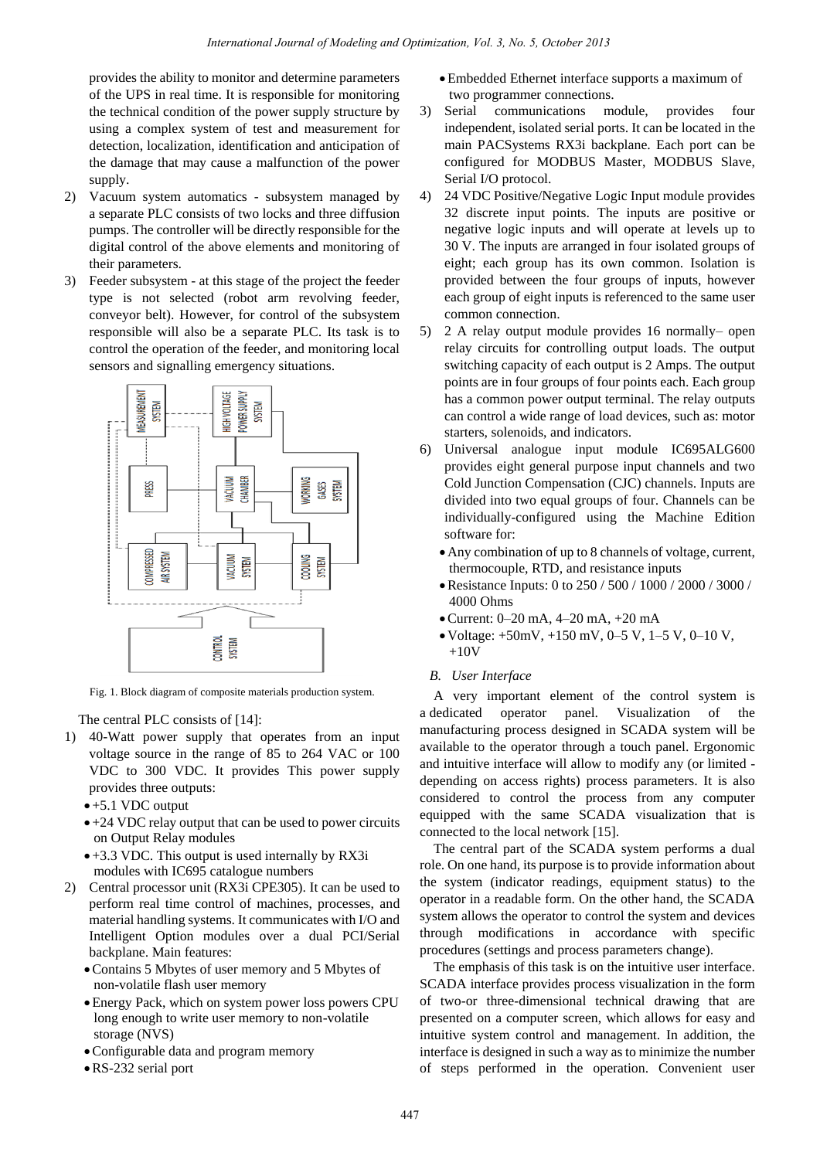provides the ability to monitor and determine parameters of the UPS in real time. It is responsible for monitoring the technical condition of the power supply structure by using a complex system of test and measurement for detection, localization, identification and anticipation of the damage that may cause a malfunction of the power supply.

- 2) Vacuum system automatics subsystem managed by a separate PLC consists of two locks and three diffusion pumps. The controller will be directly responsible for the digital control of the above elements and monitoring of their parameters.
- 3) Feeder subsystem at this stage of the project the feeder type is not selected (robot arm revolving feeder, conveyor belt). However, for control of the subsystem responsible will also be a separate PLC. Its task is to control the operation of the feeder, and monitoring local sensors and signalling emergency situations.



Fig. 1. Block diagram of composite materials production system.

The central PLC consists of [14]:

- 1) 40-Watt power supply that operates from an input voltage source in the range of 85 to 264 VAC or 100 VDC to 300 VDC. It provides This power supply provides three outputs:
	- +5.1 VDC output
	- $\bullet$  +24 VDC relay output that can be used to power circuits on Output Relay modules
	- +3.3 VDC. This output is used internally by RX3i modules with IC695 catalogue numbers
- 2) Central processor unit (RX3i CPE305). It can be used to perform real time control of machines, processes, and material handling systems. It communicates with I/O and Intelligent Option modules over a dual PCI/Serial backplane. Main features:
	- Contains 5 Mbytes of user memory and 5 Mbytes of non-volatile flash user memory
	- Energy Pack, which on system power loss powers CPU long enough to write user memory to non-volatile storage (NVS)
	- Configurable data and program memory
	- RS-232 serial port

Embedded Ethernet interface supports a maximum of two programmer connections.

- 3) Serial communications module, provides four independent, isolated serial ports. It can be located in the main PACSystems RX3i backplane. Each port can be configured for MODBUS Master, MODBUS Slave, Serial I/O protocol.
- 4) 24 VDC Positive/Negative Logic Input module provides 32 discrete input points. The inputs are positive or negative logic inputs and will operate at levels up to 30 V. The inputs are arranged in four isolated groups of eight; each group has its own common. Isolation is provided between the four groups of inputs, however each group of eight inputs is referenced to the same user common connection.
- 5) 2 A relay output module provides 16 normally– open relay circuits for controlling output loads. The output switching capacity of each output is 2 Amps. The output points are in four groups of four points each. Each group has a common power output terminal. The relay outputs can control a wide range of load devices, such as: motor starters, solenoids, and indicators.
- 6) Universal analogue input module IC695ALG600 provides eight general purpose input channels and two Cold Junction Compensation (CJC) channels. Inputs are divided into two equal groups of four. Channels can be individually-configured using the Machine Edition software for:
	- Any combination of up to 8 channels of voltage, current, thermocouple, RTD, and resistance inputs
	- Resistance Inputs: 0 to 250 / 500 / 1000 / 2000 / 3000 / 4000 Ohms
	- Current: 0–20 mA, 4–20 mA, +20 mA
	- $\bullet$  Voltage:  $+50$ mV,  $+150$  mV,  $0-5$  V,  $1-5$  V,  $0-10$  V,  $+10V$
	- *B. User Interface*

A very important element of the control system is a dedicated operator panel. Visualization of the manufacturing process designed in SCADA system will be available to the operator through a touch panel. Ergonomic and intuitive interface will allow to modify any (or limited depending on access rights) process parameters. It is also considered to control the process from any computer equipped with the same SCADA visualization that is connected to the local network [15].

The central part of the SCADA system performs a dual role. On one hand, its purpose is to provide information about the system (indicator readings, equipment status) to the operator in a readable form. On the other hand, the SCADA system allows the operator to control the system and devices through modifications in accordance with specific procedures (settings and process parameters change).

The emphasis of this task is on the intuitive user interface. SCADA interface provides process visualization in the form of two-or three-dimensional technical drawing that are presented on a computer screen, which allows for easy and intuitive system control and management. In addition, the interface is designed in such a way as to minimize the number of steps performed in the operation. Convenient user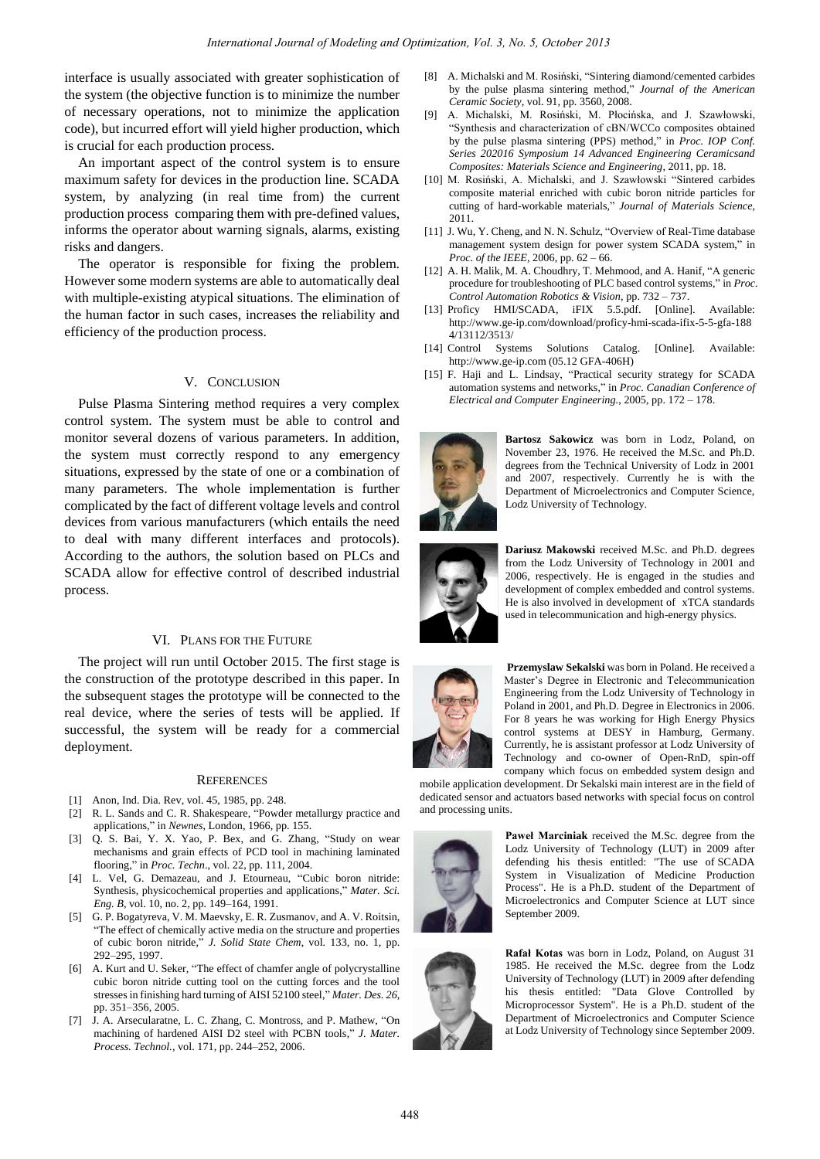interface is usually associated with greater sophistication of the system (the objective function is to minimize the number of necessary operations, not to minimize the application code), but incurred effort will yield higher production, which is crucial for each production process.

An important aspect of the control system is to ensure maximum safety for devices in the production line. SCADA system, by analyzing (in real time from) the current production process comparing them with pre-defined values, informs the operator about warning signals, alarms, existing risks and dangers.

The operator is responsible for fixing the problem. However some modern systems are able to automatically deal with multiple-existing atypical situations. The elimination of the human factor in such cases, increases the reliability and efficiency of the production process.

## V. CONCLUSION

Pulse Plasma Sintering method requires a very complex control system. The system must be able to control and monitor several dozens of various parameters. In addition, the system must correctly respond to any emergency situations, expressed by the state of one or a combination of many parameters. The whole implementation is further complicated by the fact of different voltage levels and control devices from various manufacturers (which entails the need to deal with many different interfaces and protocols). According to the authors, the solution based on PLCs and SCADA allow for effective control of described industrial process.

### VI. PLANS FOR THE FUTURE

The project will run until October 2015. The first stage is the construction of the prototype described in this paper. In the subsequent stages the prototype will be connected to the real device, where the series of tests will be applied. If successful, the system will be ready for a commercial deployment.

#### **REFERENCES**

- [1] Anon, Ind. Dia. Rev, vol. 45, 1985, pp. 248.
- [2] R. L. Sands and C. R. Shakespeare, "Powder metallurgy practice and applications," in *Newnes*, London, 1966, pp. 155.
- [3] Q. S. Bai, Y. X. Yao, P. Bex, and G. Zhang, "Study on wear mechanisms and grain effects of PCD tool in machining laminated flooring," in *Proc. Techn*., vol. 22, pp. 111, 2004.
- [4] L. Vel, G. Demazeau, and J. Etourneau, "Cubic boron nitride: Synthesis, physicochemical properties and applications," *Mater. Sci. Eng. B*, vol. 10, no. 2, pp. 149–164, 1991.
- [5] G. P. Bogatyreva, V. M. Maevsky, E. R. Zusmanov, and A. V. Roitsin, "The effect of chemically active media on the structure and properties of cubic boron nitride," *J. Solid State Chem*, vol. 133, no. 1, pp. 292–295, 1997.
- [6] A. Kurt and U. Seker, "The effect of chamfer angle of polycrystalline cubic boron nitride cutting tool on the cutting forces and the tool stresses in finishing hard turning of AISI 52100 steel," *Mater. Des. 26*, pp. 351–356, 2005.
- [7] J. A. Arsecularatne, L. C. Zhang, C. Montross, and P. Mathew, "On machining of hardened AISI D2 steel with PCBN tools," *J. Mater. Process. Technol.,* vol. 171, pp. 244–252, 2006.
- [8] A. Michalski and M. Rosiński, "Sintering diamond/cemented carbides by the pulse plasma sintering method," *Journal of the American Ceramic Society*, vol. 91, pp. 3560, 2008.
- [9] A. Michalski, M. Rosiński, M. Płocińska, and J. Szawłowski, "Synthesis and characterization of cBN/WCCo composites obtained by the pulse plasma sintering (PPS) method," in *Proc. IOP Conf. Series 202016 Symposium 14 Advanced Engineering Ceramicsand Composites: Materials Science and Engineering*, 2011, pp. 18.
- [10] M. Rosiński, A. Michalski, and J. Szawłowski "Sintered carbides composite material enriched with cubic boron nitride particles for cutting of hard-workable materials," *Journal of Materials Science*, 2011.
- [11] J. Wu, Y. Cheng, and N. N. Schulz, "Overview of Real-Time database management system design for power system SCADA system," in *Proc. of the IEEE*, 2006, pp. 62 – 66.
- [12] A. H. Malik, M. A. Choudhry, T. Mehmood, and A. Hanif, "A generic procedure for troubleshooting of PLC based control systems," in *Proc. Control Automation Robotics & Vision*, pp. 732 – 737.
- [13] Proficy HMI/SCADA, iFIX 5.5.pdf. [Online]. Available: http://www.ge-ip.com/download/proficy-hmi-scada-ifix-5-5-gfa-188 4/13112/3513/
- [14] Control Systems Solutions Catalog. [Online]. Available: http://www.ge-ip.com (05.12 GFA-406H)
- [15] F. Haji and L. Lindsay, "Practical security strategy for SCADA automation systems and networks," in *Proc. Canadian Conference of Electrical and Computer Engineering.*, 2005, pp. 172 – 178.



**Bartosz Sakowicz** was born in Lodz, Poland, on November 23, 1976. He received the M.Sc. and Ph.D. degrees from the Technical University of Lodz in 2001 and 2007, respectively. Currently he is with the Department of Microelectronics and Computer Science, Lodz University of Technology.



**Dariusz Makowski** received M.Sc. and Ph.D. degrees from the Lodz University of Technology in 2001 and 2006, respectively. He is engaged in the studies and development of complex embedded and control systems. He is also involved in development of xTCA standards used in telecommunication and high-energy physics.



**Przemyslaw Sekalski** was born in Poland. He received a Master's Degree in Electronic and Telecommunication Engineering from the Lodz University of Technology in Poland in 2001, and Ph.D. Degree in Electronics in 2006. For 8 years he was working for High Energy Physics control systems at DESY in Hamburg, Germany. Currently, he is assistant professor at Lodz University of Technology and co-owner of Open-RnD, spin-off company which focus on embedded system design and

mobile application development. Dr Sekalski main interest are in the field of dedicated sensor and actuators based networks with special focus on control and processing units.



**Paweł Marciniak** received the M.Sc. degree from the Lodz University of Technology (LUT) in 2009 after defending his thesis entitled: "The use of SCADA System in Visualization of Medicine Production Process". He is a Ph.D. student of the Department of Microelectronics and Computer Science at LUT since September 2009.



**Rafał Kotas** was born in Lodz, Poland, on August 31 1985. He received the M.Sc. degree from the Lodz University of Technology (LUT) in 2009 after defending his thesis entitled: "Data Glove Controlled by Microprocessor System". He is a Ph.D. student of the Department of Microelectronics and Computer Science at Lodz University of Technology since September 2009.